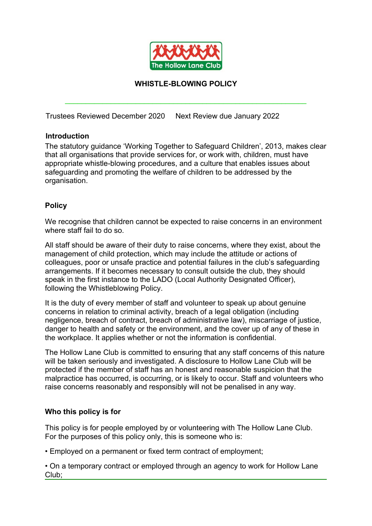

#### **WHISTLE-BLOWING POLICY**

\_\_\_\_\_\_\_\_\_\_\_\_\_\_\_\_\_\_\_\_\_\_\_\_\_\_\_\_\_\_\_\_\_\_\_\_\_\_\_\_\_\_\_\_\_\_\_\_\_\_\_\_\_\_\_\_\_\_

Trustees Reviewed December 2020 Next Review due January 2022

#### **Introduction**

The statutory guidance 'Working Together to Safeguard Children', 2013, makes clear that all organisations that provide services for, or work with, children, must have appropriate whistle-blowing procedures, and a culture that enables issues about safeguarding and promoting the welfare of children to be addressed by the organisation.

#### **Policy**

We recognise that children cannot be expected to raise concerns in an environment where staff fail to do so.

All staff should be aware of their duty to raise concerns, where they exist, about the management of child protection, which may include the attitude or actions of colleagues, poor or unsafe practice and potential failures in the club's safeguarding arrangements. If it becomes necessary to consult outside the club, they should speak in the first instance to the LADO (Local Authority Designated Officer), following the Whistleblowing Policy.

It is the duty of every member of staff and volunteer to speak up about genuine concerns in relation to criminal activity, breach of a legal obligation (including negligence, breach of contract, breach of administrative law), miscarriage of justice, danger to health and safety or the environment, and the cover up of any of these in the workplace. It applies whether or not the information is confidential.

The Hollow Lane Club is committed to ensuring that any staff concerns of this nature will be taken seriously and investigated. A disclosure to Hollow Lane Club will be protected if the member of staff has an honest and reasonable suspicion that the malpractice has occurred, is occurring, or is likely to occur. Staff and volunteers who raise concerns reasonably and responsibly will not be penalised in any way.

#### **Who this policy is for**

This policy is for people employed by or volunteering with The Hollow Lane Club. For the purposes of this policy only, this is someone who is:

• Employed on a permanent or fixed term contract of employment;

• On a temporary contract or employed through an agency to work for Hollow Lane Club;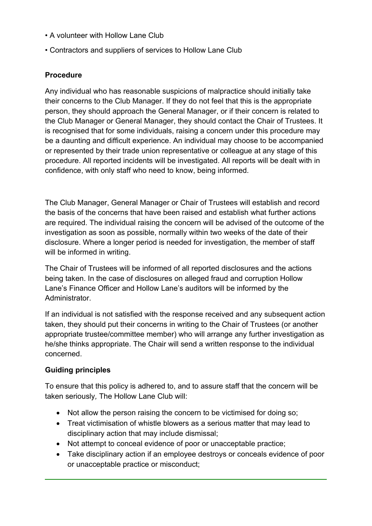- A volunteer with Hollow Lane Club
- Contractors and suppliers of services to Hollow Lane Club

# **Procedure**

Any individual who has reasonable suspicions of malpractice should initially take their concerns to the Club Manager. If they do not feel that this is the appropriate person, they should approach the General Manager, or if their concern is related to the Club Manager or General Manager, they should contact the Chair of Trustees. It is recognised that for some individuals, raising a concern under this procedure may be a daunting and difficult experience. An individual may choose to be accompanied or represented by their trade union representative or colleague at any stage of this procedure. All reported incidents will be investigated. All reports will be dealt with in confidence, with only staff who need to know, being informed.

The Club Manager, General Manager or Chair of Trustees will establish and record the basis of the concerns that have been raised and establish what further actions are required. The individual raising the concern will be advised of the outcome of the investigation as soon as possible, normally within two weeks of the date of their disclosure. Where a longer period is needed for investigation, the member of staff will be informed in writing.

The Chair of Trustees will be informed of all reported disclosures and the actions being taken. In the case of disclosures on alleged fraud and corruption Hollow Lane's Finance Officer and Hollow Lane's auditors will be informed by the **Administrator** 

If an individual is not satisfied with the response received and any subsequent action taken, they should put their concerns in writing to the Chair of Trustees (or another appropriate trustee/committee member) who will arrange any further investigation as he/she thinks appropriate. The Chair will send a written response to the individual concerned.

## **Guiding principles**

To ensure that this policy is adhered to, and to assure staff that the concern will be taken seriously*,* The Hollow Lane Club will:

- Not allow the person raising the concern to be victimised for doing so;
- Treat victimisation of whistle blowers as a serious matter that may lead to disciplinary action that may include dismissal;
- Not attempt to conceal evidence of poor or unacceptable practice;
- Take disciplinary action if an employee destroys or conceals evidence of poor or unacceptable practice or misconduct;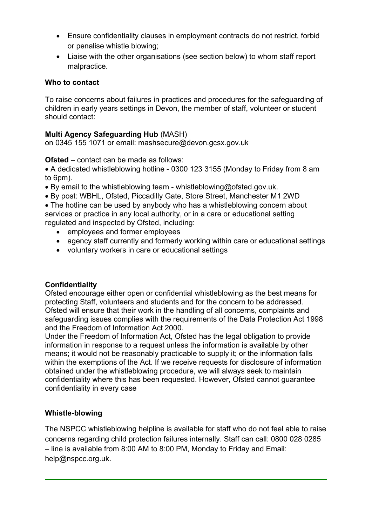- Ensure confidentiality clauses in employment contracts do not restrict, forbid or penalise whistle blowing;
- Liaise with the other organisations (see section below) to whom staff report malpractice.

## **Who to contact**

To raise concerns about failures in practices and procedures for the safeguarding of children in early years settings in Devon, the member of staff, volunteer or student should contact:

## **Multi Agency Safeguarding Hub** (MASH)

on 0345 155 1071 or email: mashsecure@devon.gcsx.gov.uk

**Ofsted** – contact can be made as follows:

 A dedicated whistleblowing hotline - 0300 123 3155 (Monday to Friday from 8 am to 6pm).

- By email to the whistleblowing team whistleblowing@ofsted.gov.uk.
- By post: WBHL, Ofsted, Piccadilly Gate, Store Street, Manchester M1 2WD

• The hotline can be used by anybody who has a whistleblowing concern about services or practice in any local authority, or in a care or educational setting regulated and inspected by Ofsted, including:

- employees and former employees
- agency staff currently and formerly working within care or educational settings
- voluntary workers in care or educational settings

## **Confidentiality**

Ofsted encourage either open or confidential whistleblowing as the best means for protecting Staff, volunteers and students and for the concern to be addressed. Ofsted will ensure that their work in the handling of all concerns, complaints and safeguarding issues complies with the requirements of the Data Protection Act 1998 and the Freedom of Information Act 2000.

Under the Freedom of Information Act, Ofsted has the legal obligation to provide information in response to a request unless the information is available by other means; it would not be reasonably practicable to supply it; or the information falls within the exemptions of the Act. If we receive requests for disclosure of information obtained under the whistleblowing procedure, we will always seek to maintain confidentiality where this has been requested. However, Ofsted cannot guarantee confidentiality in every case

## **Whistle-blowing**

The NSPCC whistleblowing helpline is available for staff who do not feel able to raise concerns regarding child protection failures internally. Staff can call: 0800 028 0285 – line is available from 8:00 AM to 8:00 PM, Monday to Friday and Email: help@nspcc.org.uk.